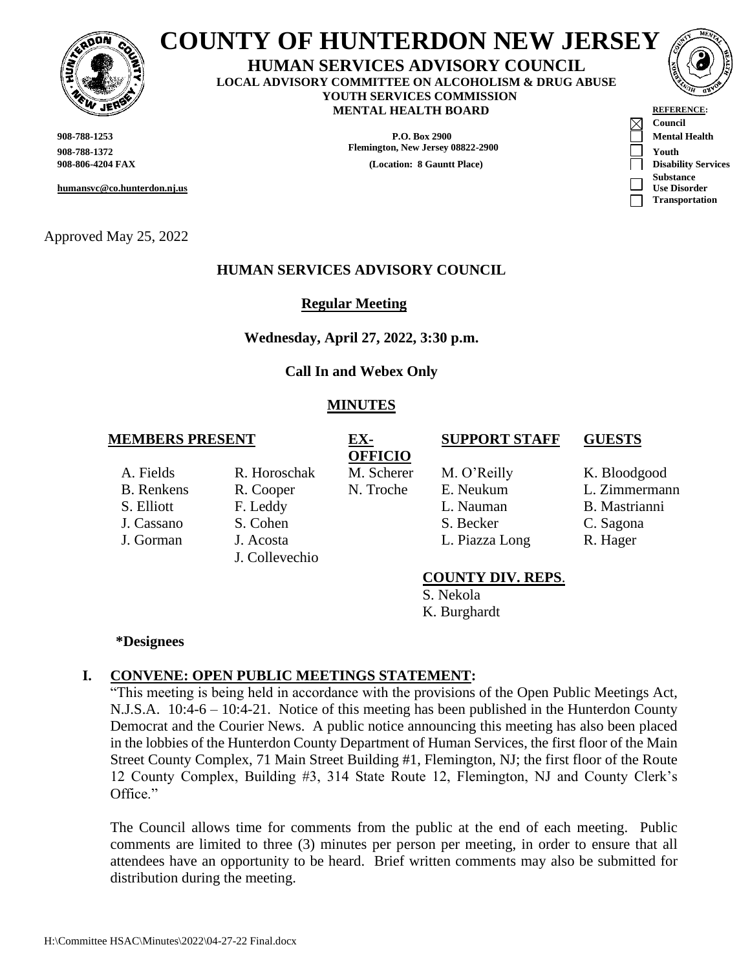

# **COUNTY OF HUNTERDON NEW JERSEY**

**HUMAN SERVICES ADVISORY COUNCIL LOCAL ADVISORY COMMITTEE ON ALCOHOLISM & DRUG ABUSE YOUTH SERVICES COMMISSION MENTAL HEALTH BOARD** 

Approved May 25, 2022

## **HUMAN SERVICES ADVISORY COUNCIL**

 **Regular Meeting**

**Wednesday, April 27, 2022, 3:30 p.m.**

**Call In and Webex Only**

## **MINUTES**

#### **MEMBERS PRESENT EX-**

- 
- 
- A. Fields R. Horoschak M. Scherer M. O'Reilly K. Bloodgood J. Gorman J. Acosta J. Collevechio

**OFFICIO**

B. Renkens R. Cooper N. Troche E. Neukum L. Zimmermann S. Elliott F. Leddy L. Nauman B. Mastrianni J. Cassano S. Cohen S. Becker C. Sagona

- **SUPPORT STAFF GUESTS**
	-
	-
	-
	-
- L. Piazza Long R. Hager

## **COUNTY DIV. REPS**.

S. Nekola K. Burghardt

#### **\*Designees**

# **I. CONVENE: OPEN PUBLIC MEETINGS STATEMENT:**

"This meeting is being held in accordance with the provisions of the Open Public Meetings Act, N.J.S.A. 10:4-6 – 10:4-21. Notice of this meeting has been published in the Hunterdon County Democrat and the Courier News. A public notice announcing this meeting has also been placed in the lobbies of the Hunterdon County Department of Human Services, the first floor of the Main Street County Complex, 71 Main Street Building #1, Flemington, NJ; the first floor of the Route 12 County Complex, Building #3, 314 State Route 12, Flemington, NJ and County Clerk's Office."

The Council allows time for comments from the public at the end of each meeting. Public comments are limited to three (3) minutes per person per meeting, in order to ensure that all attendees have an opportunity to be heard. Brief written comments may also be submitted for distribution during the meeting.

| <b>W JERSY</b>                                  | <b>MENTAL HEALTH BOARD</b>        | <b>REFERENCE:</b>                                                     |
|-------------------------------------------------|-----------------------------------|-----------------------------------------------------------------------|
| 908-788-1253                                    | P.O. Box 2900                     | $\boxtimes$<br>Council<br><b>Mental Health</b>                        |
| 908-788-1372                                    | Flemington, New Jersey 08822-2900 | Youth                                                                 |
| 908-806-4204 FAX<br>humansvc@co.hunterdon.nj.us | (Location: 8 Gauntt Place)        | <b>Disability Services</b><br><b>Substance</b><br><b>Use Disorder</b> |
|                                                 |                                   | <b>Transportation</b>                                                 |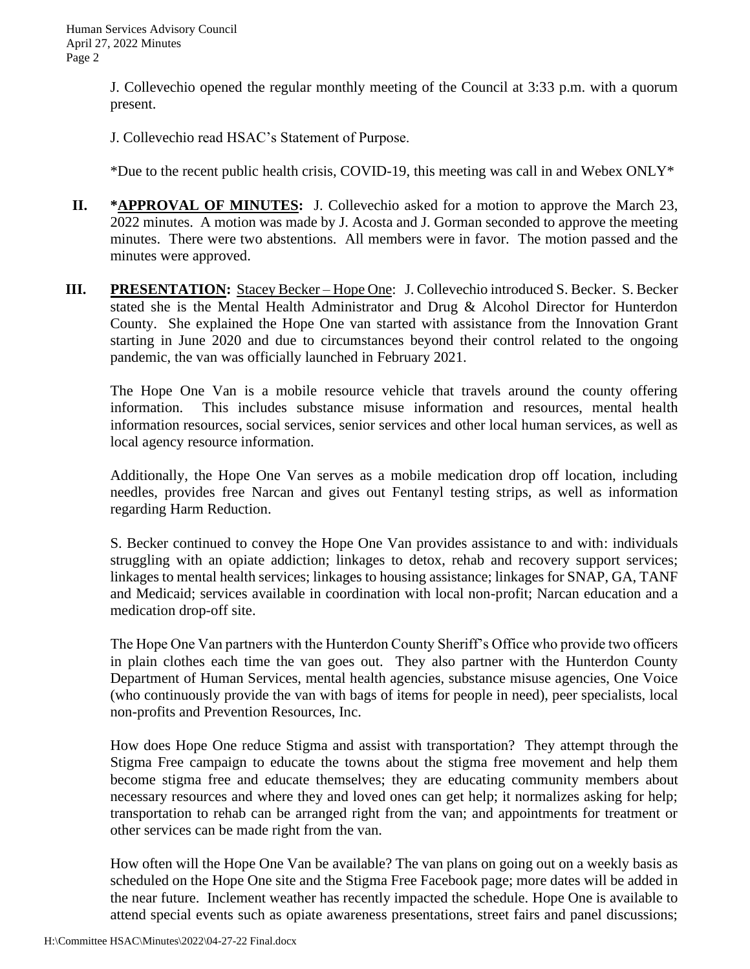J. Collevechio opened the regular monthly meeting of the Council at 3:33 p.m. with a quorum present.

J. Collevechio read HSAC's Statement of Purpose.

\*Due to the recent public health crisis, COVID-19, this meeting was call in and Webex ONLY\*

- **II. \*APPROVAL OF MINUTES:** J. Collevechio asked for a motion to approve the March 23, 2022 minutes. A motion was made by J. Acosta and J. Gorman seconded to approve the meeting minutes. There were two abstentions. All members were in favor. The motion passed and the minutes were approved.
- **III. PRESENTATION:** Stacey Becker Hope One: J. Collevechio introduced S. Becker. S. Becker stated she is the Mental Health Administrator and Drug & Alcohol Director for Hunterdon County. She explained the Hope One van started with assistance from the Innovation Grant starting in June 2020 and due to circumstances beyond their control related to the ongoing pandemic, the van was officially launched in February 2021.

The Hope One Van is a mobile resource vehicle that travels around the county offering information. This includes substance misuse information and resources, mental health information resources, social services, senior services and other local human services, as well as local agency resource information.

Additionally, the Hope One Van serves as a mobile medication drop off location, including needles, provides free Narcan and gives out Fentanyl testing strips, as well as information regarding Harm Reduction.

S. Becker continued to convey the Hope One Van provides assistance to and with: individuals struggling with an opiate addiction; linkages to detox, rehab and recovery support services; linkages to mental health services; linkages to housing assistance; linkages for SNAP, GA, TANF and Medicaid; services available in coordination with local non-profit; Narcan education and a medication drop-off site.

The Hope One Van partners with the Hunterdon County Sheriff's Office who provide two officers in plain clothes each time the van goes out. They also partner with the Hunterdon County Department of Human Services, mental health agencies, substance misuse agencies, One Voice (who continuously provide the van with bags of items for people in need), peer specialists, local non-profits and Prevention Resources, Inc.

How does Hope One reduce Stigma and assist with transportation? They attempt through the Stigma Free campaign to educate the towns about the stigma free movement and help them become stigma free and educate themselves; they are educating community members about necessary resources and where they and loved ones can get help; it normalizes asking for help; transportation to rehab can be arranged right from the van; and appointments for treatment or other services can be made right from the van.

How often will the Hope One Van be available? The van plans on going out on a weekly basis as scheduled on the Hope One site and the Stigma Free Facebook page; more dates will be added in the near future. Inclement weather has recently impacted the schedule. Hope One is available to attend special events such as opiate awareness presentations, street fairs and panel discussions;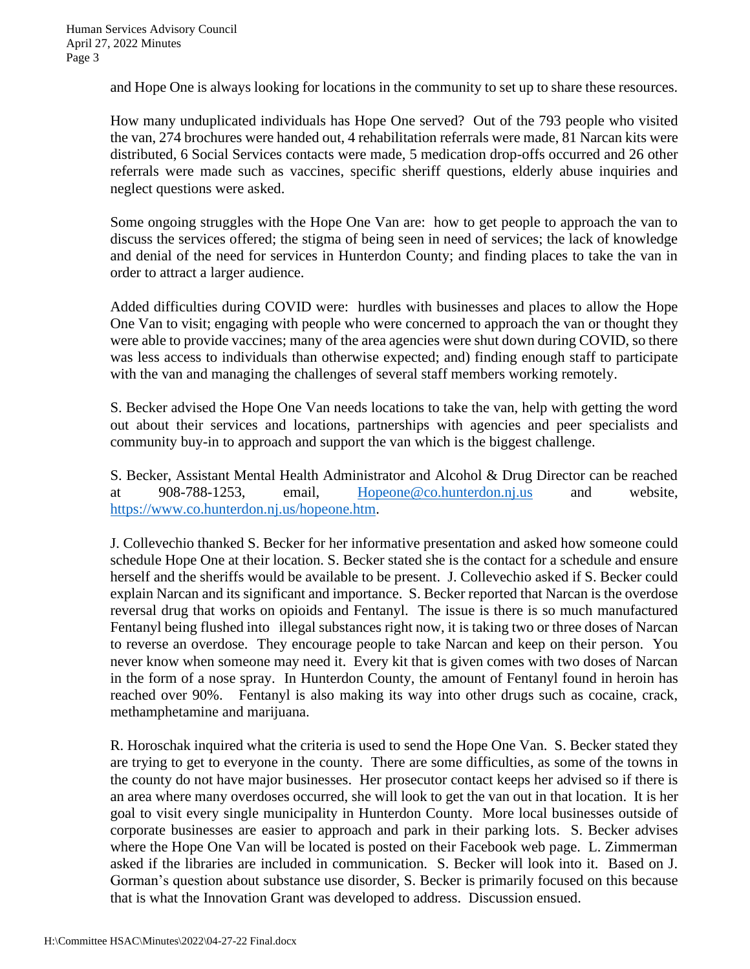and Hope One is always looking for locations in the community to set up to share these resources.

How many unduplicated individuals has Hope One served? Out of the 793 people who visited the van, 274 brochures were handed out, 4 rehabilitation referrals were made, 81 Narcan kits were distributed, 6 Social Services contacts were made, 5 medication drop-offs occurred and 26 other referrals were made such as vaccines, specific sheriff questions, elderly abuse inquiries and neglect questions were asked.

Some ongoing struggles with the Hope One Van are: how to get people to approach the van to discuss the services offered; the stigma of being seen in need of services; the lack of knowledge and denial of the need for services in Hunterdon County; and finding places to take the van in order to attract a larger audience.

Added difficulties during COVID were: hurdles with businesses and places to allow the Hope One Van to visit; engaging with people who were concerned to approach the van or thought they were able to provide vaccines; many of the area agencies were shut down during COVID, so there was less access to individuals than otherwise expected; and) finding enough staff to participate with the van and managing the challenges of several staff members working remotely.

S. Becker advised the Hope One Van needs locations to take the van, help with getting the word out about their services and locations, partnerships with agencies and peer specialists and community buy-in to approach and support the van which is the biggest challenge.

S. Becker, Assistant Mental Health Administrator and Alcohol & Drug Director can be reached at 908-788-1253, email, [Hopeone@co.hunterdon.nj.us](mailto:Hopeone@co.hunterdon.nj.us) and website, [https://www.co.hunterdon.nj.us/hopeone.htm.](https://www.co.hunterdon.nj.us/hopeone.htm)

J. Collevechio thanked S. Becker for her informative presentation and asked how someone could schedule Hope One at their location. S. Becker stated she is the contact for a schedule and ensure herself and the sheriffs would be available to be present. J. Collevechio asked if S. Becker could explain Narcan and its significant and importance. S. Becker reported that Narcan is the overdose reversal drug that works on opioids and Fentanyl. The issue is there is so much manufactured Fentanyl being flushed into illegal substances right now, it is taking two or three doses of Narcan to reverse an overdose. They encourage people to take Narcan and keep on their person. You never know when someone may need it. Every kit that is given comes with two doses of Narcan in the form of a nose spray. In Hunterdon County, the amount of Fentanyl found in heroin has reached over 90%. Fentanyl is also making its way into other drugs such as cocaine, crack, methamphetamine and marijuana.

R. Horoschak inquired what the criteria is used to send the Hope One Van. S. Becker stated they are trying to get to everyone in the county. There are some difficulties, as some of the towns in the county do not have major businesses. Her prosecutor contact keeps her advised so if there is an area where many overdoses occurred, she will look to get the van out in that location. It is her goal to visit every single municipality in Hunterdon County. More local businesses outside of corporate businesses are easier to approach and park in their parking lots. S. Becker advises where the Hope One Van will be located is posted on their Facebook web page. L. Zimmerman asked if the libraries are included in communication. S. Becker will look into it. Based on J. Gorman's question about substance use disorder, S. Becker is primarily focused on this because that is what the Innovation Grant was developed to address. Discussion ensued.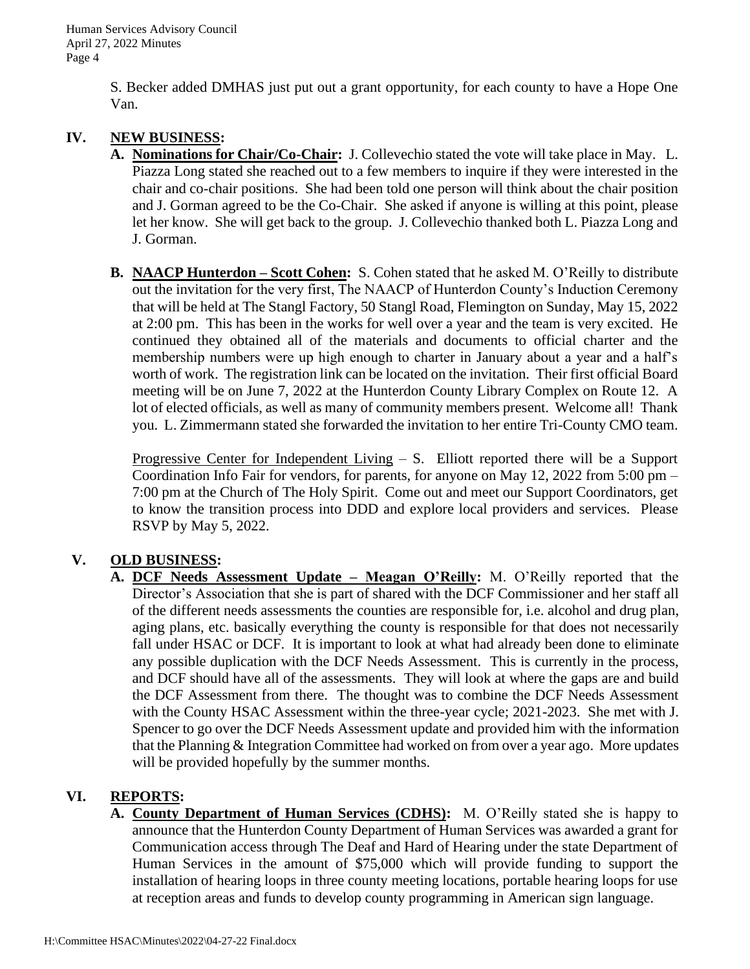S. Becker added DMHAS just put out a grant opportunity, for each county to have a Hope One Van.

## **IV. NEW BUSINESS:**

- **A. Nominations for Chair/Co-Chair:** J. Collevechio stated the vote will take place in May. L. Piazza Long stated she reached out to a few members to inquire if they were interested in the chair and co-chair positions. She had been told one person will think about the chair position and J. Gorman agreed to be the Co-Chair. She asked if anyone is willing at this point, please let her know. She will get back to the group. J. Collevechio thanked both L. Piazza Long and J. Gorman.
- **B. NAACP Hunterdon – Scott Cohen:** S. Cohen stated that he asked M. O'Reilly to distribute out the invitation for the very first, The NAACP of Hunterdon County's Induction Ceremony that will be held at The Stangl Factory, 50 Stangl Road, Flemington on Sunday, May 15, 2022 at 2:00 pm. This has been in the works for well over a year and the team is very excited. He continued they obtained all of the materials and documents to official charter and the membership numbers were up high enough to charter in January about a year and a half's worth of work. The registration link can be located on the invitation. Their first official Board meeting will be on June 7, 2022 at the Hunterdon County Library Complex on Route 12. A lot of elected officials, as well as many of community members present. Welcome all! Thank you. L. Zimmermann stated she forwarded the invitation to her entire Tri-County CMO team.

Progressive Center for Independent Living  $-$  S. Elliott reported there will be a Support Coordination Info Fair for vendors, for parents, for anyone on May 12, 2022 from 5:00 pm – 7:00 pm at the Church of The Holy Spirit. Come out and meet our Support Coordinators, get to know the transition process into DDD and explore local providers and services. Please RSVP by May 5, 2022.

# **V. OLD BUSINESS:**

**A. DCF Needs Assessment Update – Meagan O'Reilly:** M. O'Reilly reported that the Director's Association that she is part of shared with the DCF Commissioner and her staff all of the different needs assessments the counties are responsible for, i.e. alcohol and drug plan, aging plans, etc. basically everything the county is responsible for that does not necessarily fall under HSAC or DCF. It is important to look at what had already been done to eliminate any possible duplication with the DCF Needs Assessment. This is currently in the process, and DCF should have all of the assessments. They will look at where the gaps are and build the DCF Assessment from there. The thought was to combine the DCF Needs Assessment with the County HSAC Assessment within the three-year cycle; 2021-2023. She met with J. Spencer to go over the DCF Needs Assessment update and provided him with the information that the Planning & Integration Committee had worked on from over a year ago. More updates will be provided hopefully by the summer months.

## **VI. REPORTS:**

**A. County Department of Human Services (CDHS):** M. O'Reilly stated she is happy to announce that the Hunterdon County Department of Human Services was awarded a grant for Communication access through The Deaf and Hard of Hearing under the state Department of Human Services in the amount of \$75,000 which will provide funding to support the installation of hearing loops in three county meeting locations, portable hearing loops for use at reception areas and funds to develop county programming in American sign language.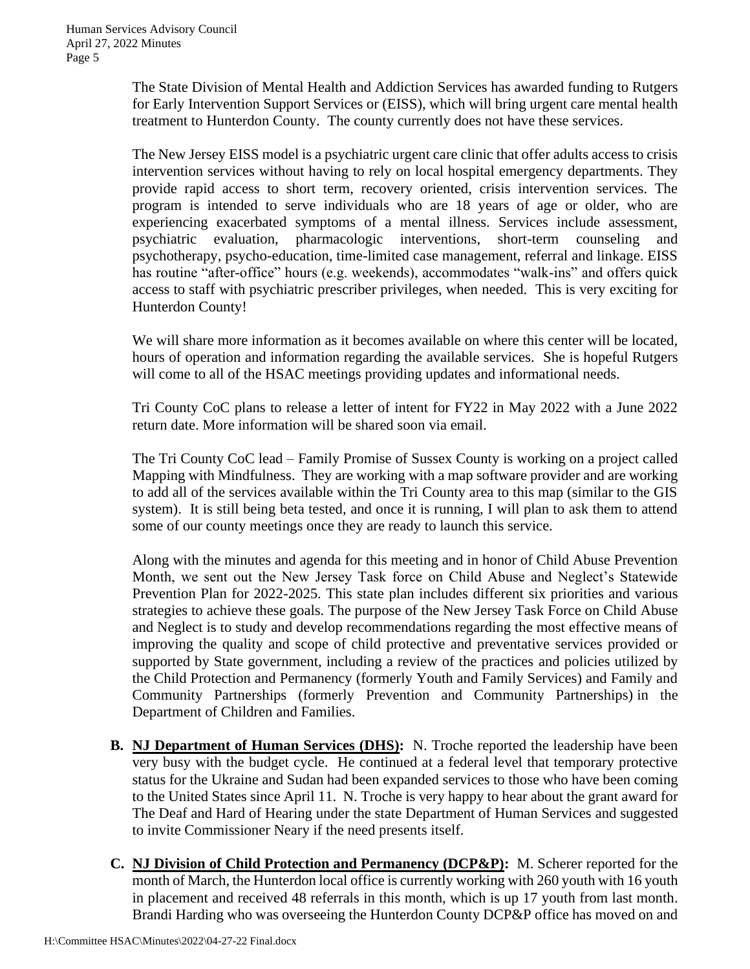The State Division of Mental Health and Addiction Services has awarded funding to Rutgers for Early Intervention Support Services or (EISS), which will bring urgent care mental health treatment to Hunterdon County. The county currently does not have these services.

The New Jersey EISS model is a psychiatric urgent care clinic that offer adults access to crisis intervention services without having to rely on local hospital emergency departments. They provide rapid access to short term, recovery oriented, crisis intervention services. The program is intended to serve individuals who are 18 years of age or older, who are experiencing exacerbated symptoms of a mental illness. Services include assessment, psychiatric evaluation, pharmacologic interventions, short-term counseling and psychotherapy, psycho-education, time-limited case management, referral and linkage. EISS has routine "after-office" hours (e.g. weekends), accommodates "walk-ins" and offers quick access to staff with psychiatric prescriber privileges, when needed. This is very exciting for Hunterdon County!

We will share more information as it becomes available on where this center will be located, hours of operation and information regarding the available services. She is hopeful Rutgers will come to all of the HSAC meetings providing updates and informational needs.

Tri County CoC plans to release a letter of intent for FY22 in May 2022 with a June 2022 return date. More information will be shared soon via email.

The Tri County CoC lead – Family Promise of Sussex County is working on a project called Mapping with Mindfulness. They are working with a map software provider and are working to add all of the services available within the Tri County area to this map (similar to the GIS system). It is still being beta tested, and once it is running, I will plan to ask them to attend some of our county meetings once they are ready to launch this service.

Along with the minutes and agenda for this meeting and in honor of Child Abuse Prevention Month, we sent out the New Jersey Task force on Child Abuse and Neglect's Statewide Prevention Plan for 2022-2025. This state plan includes different six priorities and various strategies to achieve these goals. The purpose of the New Jersey Task Force on Child Abuse and Neglect is to study and develop recommendations regarding the most effective means of improving the quality and scope of child protective and preventative services provided or supported by State government, including a review of the practices and policies utilized by the Child Protection and Permanency (formerly Youth and Family Services) and Family and Community Partnerships (formerly Prevention and Community Partnerships) in the Department of Children and Families.

- **B. NJ Department of Human Services (DHS):** N. Troche reported the leadership have been very busy with the budget cycle. He continued at a federal level that temporary protective status for the Ukraine and Sudan had been expanded services to those who have been coming to the United States since April 11. N. Troche is very happy to hear about the grant award for The Deaf and Hard of Hearing under the state Department of Human Services and suggested to invite Commissioner Neary if the need presents itself.
- **C. NJ Division of Child Protection and Permanency (DCP&P):** M. Scherer reported for the month of March, the Hunterdon local office is currently working with 260 youth with 16 youth in placement and received 48 referrals in this month, which is up 17 youth from last month. Brandi Harding who was overseeing the Hunterdon County DCP&P office has moved on and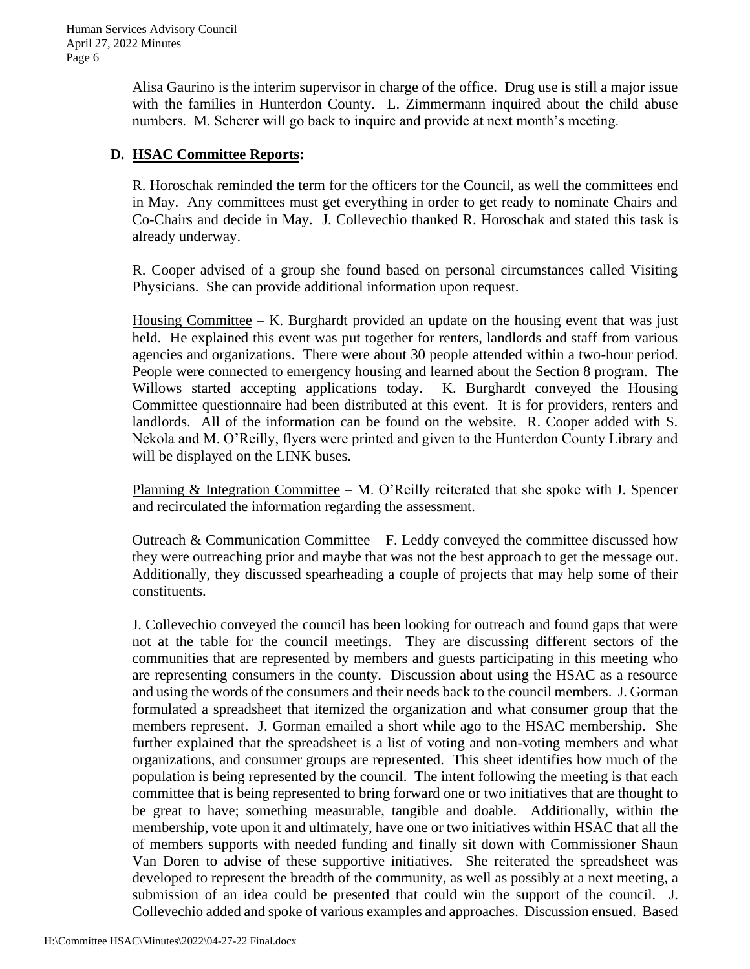Alisa Gaurino is the interim supervisor in charge of the office. Drug use is still a major issue with the families in Hunterdon County. L. Zimmermann inquired about the child abuse numbers. M. Scherer will go back to inquire and provide at next month's meeting.

## **D. HSAC Committee Reports:**

R. Horoschak reminded the term for the officers for the Council, as well the committees end in May. Any committees must get everything in order to get ready to nominate Chairs and Co-Chairs and decide in May. J. Collevechio thanked R. Horoschak and stated this task is already underway.

R. Cooper advised of a group she found based on personal circumstances called Visiting Physicians. She can provide additional information upon request.

Housing Committee  $-$  K. Burghardt provided an update on the housing event that was just held. He explained this event was put together for renters, landlords and staff from various agencies and organizations. There were about 30 people attended within a two-hour period. People were connected to emergency housing and learned about the Section 8 program. The Willows started accepting applications today. K. Burghardt conveyed the Housing Committee questionnaire had been distributed at this event. It is for providers, renters and landlords. All of the information can be found on the website. R. Cooper added with S. Nekola and M. O'Reilly, flyers were printed and given to the Hunterdon County Library and will be displayed on the LINK buses.

Planning  $\&$  Integration Committee – M. O'Reilly reiterated that she spoke with J. Spencer and recirculated the information regarding the assessment.

Outreach  $&$  Communication Committee – F. Leddy conveyed the committee discussed how they were outreaching prior and maybe that was not the best approach to get the message out. Additionally, they discussed spearheading a couple of projects that may help some of their constituents.

J. Collevechio conveyed the council has been looking for outreach and found gaps that were not at the table for the council meetings. They are discussing different sectors of the communities that are represented by members and guests participating in this meeting who are representing consumers in the county. Discussion about using the HSAC as a resource and using the words of the consumers and their needs back to the council members. J. Gorman formulated a spreadsheet that itemized the organization and what consumer group that the members represent. J. Gorman emailed a short while ago to the HSAC membership. She further explained that the spreadsheet is a list of voting and non-voting members and what organizations, and consumer groups are represented. This sheet identifies how much of the population is being represented by the council. The intent following the meeting is that each committee that is being represented to bring forward one or two initiatives that are thought to be great to have; something measurable, tangible and doable. Additionally, within the membership, vote upon it and ultimately, have one or two initiatives within HSAC that all the of members supports with needed funding and finally sit down with Commissioner Shaun Van Doren to advise of these supportive initiatives. She reiterated the spreadsheet was developed to represent the breadth of the community, as well as possibly at a next meeting, a submission of an idea could be presented that could win the support of the council. J. Collevechio added and spoke of various examples and approaches. Discussion ensued. Based